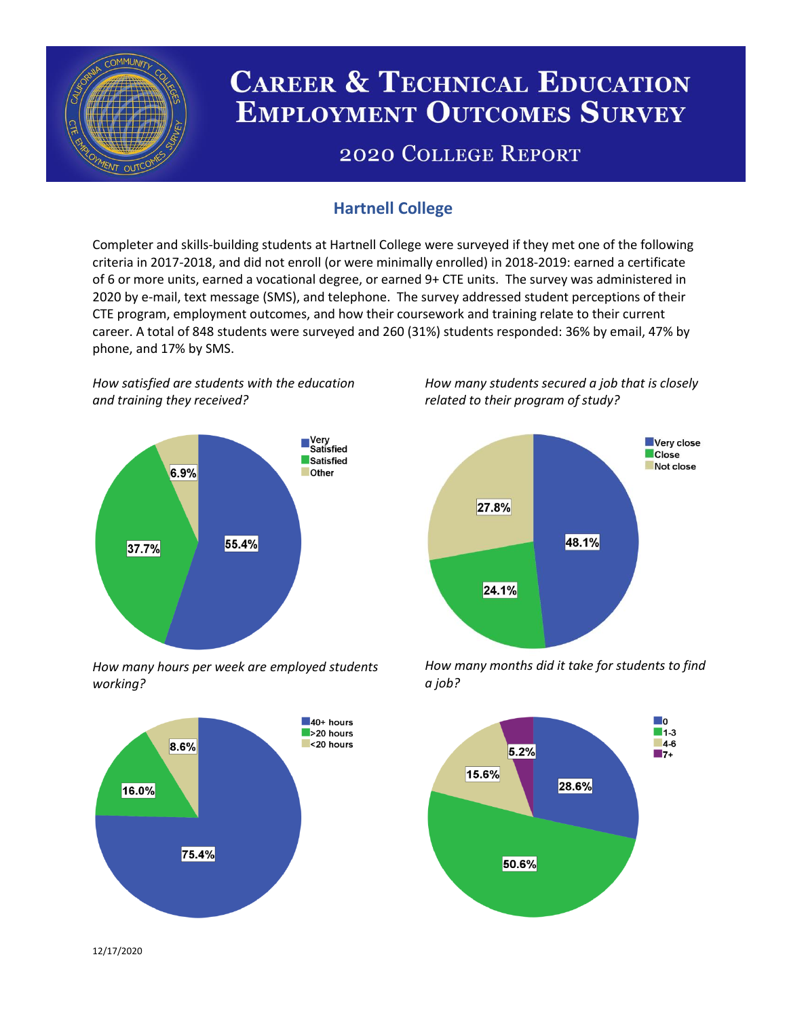

# **CAREER & TECHNICAL EDUCATION EMPLOYMENT OUTCOMES SURVEY**

## **2020 COLLEGE REPORT**

## **Hartnell College**

Completer and skills-building students at Hartnell College were surveyed if they met one of the following criteria in 2017-2018, and did not enroll (or were minimally enrolled) in 2018-2019: earned a certificate of 6 or more units, earned a vocational degree, or earned 9+ CTE units. The survey was administered in 2020 by e-mail, text message (SMS), and telephone. The survey addressed student perceptions of their CTE program, employment outcomes, and how their coursework and training relate to their current career. A total of 848 students were surveyed and 260 (31%) students responded: 36% by email, 47% by phone, and 17% by SMS.

*How satisfied are students with the education and training they received?*



*How many hours per week are employed students working?*



*How many students secured a job that is closely related to their program of study?*



*How many months did it take for students to find a job?*



12/17/2020